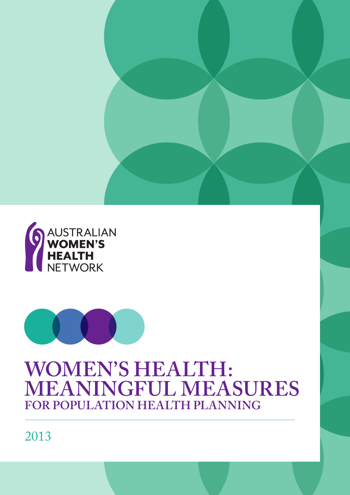



# **WOMEN'S HEALTH: MEANINGFUL MEASURES FOR POPULATION HEALTH PLANNING**

2013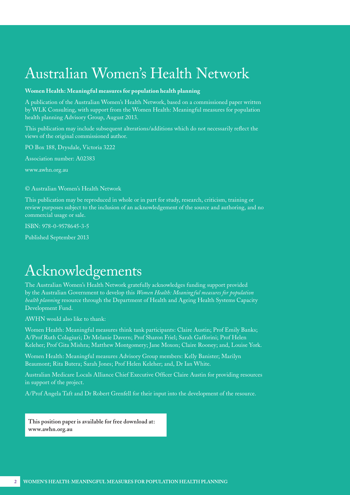# Australian Women's Health Network

### **Women Health: Meaningful measures for population health planning**

A publication of the Australian Women's Health Network, based on a commissioned paper written by WLK Consulting, with support from the Women Health: Meaningful measures for population health planning Advisory Group, August 2013.

This publication may include subsequent alterations/additions which do not necessarily reflect the views of the original commissioned author.

PO Box 188, Drysdale, Victoria 3222

Association number: A02383

[www.awhn.org.au](http://www.awhn.org.au)

#### © Australian Women's Health Network

This publication may be reproduced in whole or in part for study, research, criticism, training or review purposes subject to the inclusion of an acknowledgement of the source and authoring, and no commercial usage or sale.

ISBN: 978-0-9578645-3-5

Published September 2013

# Acknowledgements

The Australian Women's Health Network gratefully acknowledges funding support provided by the Australian Government to develop this *Women Health: Meaningful measures for population health planning* resource through the Department of Health and Ageing Health Systems Capacity Development Fund.

AWHN would also like to thank:

Women Health: Meaningful measures think tank participants: Claire Austin; Prof Emily Banks; A/Prof Ruth Colagiuri; Dr Melanie Davern; Prof Sharon Friel; Sarah Gafforini; Prof Helen Keleher; Prof Gita Mishra; Matthew Montgomery; Jane Moxon; Claire Rooney; and, Louise York.

Women Health: Meaningful measures Advisory Group members: Kelly Banister; Marilyn Beaumont; Rita Butera; Sarah Jones; Prof Helen Keleher; and, Dr Ian White.

Australian Medicare Locals Alliance Chief Executive Officer Claire Austin for providing resources in support of the project.

A/Prof Angela Taft and Dr Robert Grenfell for their input into the development of the resource.

**This position paper is available for free download at: [www.awhn.org.au](http://www.awhn.org.au)**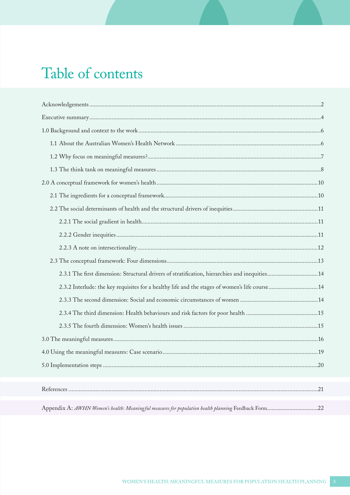# Table of contents

| 2.3.1 The first dimension: Structural drivers of stratification, hierarchies and inequities14       |    |  |
|-----------------------------------------------------------------------------------------------------|----|--|
| 2.3.2 Interlude: the key requisites for a healthy life and the stages of women's life course14      |    |  |
|                                                                                                     |    |  |
|                                                                                                     |    |  |
|                                                                                                     |    |  |
|                                                                                                     |    |  |
|                                                                                                     |    |  |
|                                                                                                     | 20 |  |
|                                                                                                     |    |  |
|                                                                                                     |    |  |
| Appendix A: AWHN Women's health: Meaningful measures for population health planning Feedback Form22 |    |  |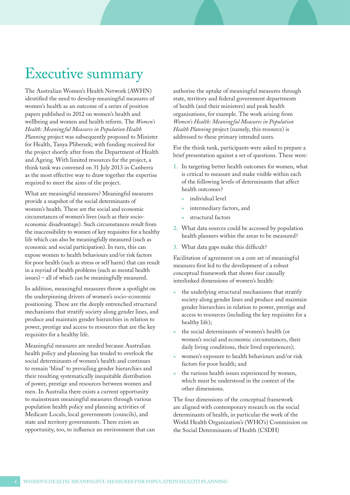# <span id="page-3-0"></span>Executive summary

The Australian Women's Health Network (AWHN) identified the need to develop meaningful measures of women's health as an outcome of a series of position papers published in 2012 on women's health and wellbeing and women and health reform. The *Women's Health: Meaningful Measures in Population Health Planning* project was subsequently proposed to Minister for Health, Tanya Plibersek; with funding received for the project shortly after from the Department of Health and Ageing. With limited resources for the project, a think tank was convened on 31 July 2013 in Canberra as the most effective way to draw together the expertise required to meet the aims of the project.

What are meaningful measures? Meaningful measures provide a snapshot of the social determinants of women's health. These are the social and economic circumstances of women's lives (such as their socioeconomic disadvantage). Such circumstances result from the inaccessibility to women of key requisites for a healthy life which can also be meaningfully measured (such as economic and social participation). In turn, this can expose women to health behaviours and/or risk factors for poor health (such as stress or self harm) that can result in a myriad of health problems (such as mental health issues) – all of which can be meaningfully measured.

In addition, meaningful measures throw a spotlight on the underpinning drivers of women's socio-economic positioning. These are the deeply entrenched structural mechanisms that stratify society along gender lines, and produce and maintain gender hierarchies in relation to power, prestige and access to resources that are the key requisites for a healthy life.

Meaningful measures are needed because Australian health policy and planning has tended to overlook the social determinants of women's health and continues to remain 'blind' to prevailing gender hierarchies and their resulting systematically inequitable distribution of power, prestige and resources between women and men. In Australia there exists a current opportunity to mainstream meaningful measures through various population health policy and planning activities of Medicare Locals, local governments (councils), and state and territory governments. There exists an opportunity, too, to influence an environment that can authorise the uptake of meaningful measures through state, territory and federal government departments of health (and their ministers) and peak health organisations, for example. The work arising from *Women's Health: Meaningful Measures in Population Health Planning* project (namely, this resource) is addressed to these primary intended users.

For the think tank, participants were asked to prepare a brief presentation against a set of questions. These were:

- 1. In targeting better health outcomes for women, what is critical to measure and make visible within each of the following levels of determinants that affect health outcomes?
	- » individual level
	- intermediary factors, and
	- » structural factors
- 2. What data sources could be accessed by population health planners within the areas to be measured?
- 3. What data gaps make this difficult?

Facilitation of agreement on a core set of meaningful measures first led to the development of a robust conceptual framework that shows four causally interlinked dimensions of women's health:

- the underlying structural mechanisms that stratify society along gender lines and produce and maintain gender hierarchies in relation to power, prestige and access to resources (including the key requisites for a healthy life);
- » the social determinants of women's health (or women's social and economic circumstances, their daily living conditions, their lived experiences);
- » women's exposure to health behaviours and/or risk factors for poor health; and
- » the various health issues experienced by women, which must be understood in the context of the other dimensions.

The four dimensions of the conceptual framework are aligned with contemporary research on the social determinants of health, in particular the work of the World Health Organization's (WHO's) Commission on the Social Determinants of Health (CSDH)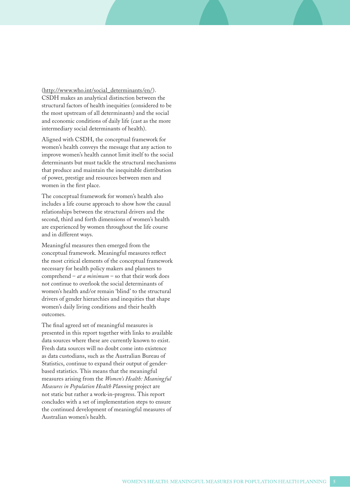[\(http://www.who.int/social\\_determinants/en/\)](http://www.who.int/social_determinants/en/). CSDH makes an analytical distinction between the structural factors of health inequities (considered to be the most upstream of all determinants) and the social and economic conditions of daily life (cast as the more intermediary social determinants of health).

Aligned with CSDH, the conceptual framework for women's health conveys the message that any action to improve women's health cannot limit itself to the social determinants but must tackle the structural mechanisms that produce and maintain the inequitable distribution of power, prestige and resources between men and women in the first place.

The conceptual framework for women's health also includes a life course approach to show how the causal relationships between the structural drivers and the second, third and forth dimensions of women's health are experienced by women throughout the life course and in different ways.

Meaningful measures then emerged from the conceptual framework. Meaningful measures reflect the most critical elements of the conceptual framework necessary for health policy makers and planners to comprehend – *at a minimum* – so that their work does not continue to overlook the social determinants of women's health and/or remain 'blind' to the structural drivers of gender hierarchies and inequities that shape women's daily living conditions and their health outcomes.

The final agreed set of meaningful measures is presented in this report together with links to available data sources where these are currently known to exist. Fresh data sources will no doubt come into existence as data custodians, such as the Australian Bureau of Statistics, continue to expand their output of genderbased statistics. This means that the meaningful measures arising from the *Women's Health: Meaningful Measures in Population Health Planning* project are not static but rather a work-in-progress. This report concludes with a set of implementation steps to ensure the continued development of meaningful measures of Australian women's health.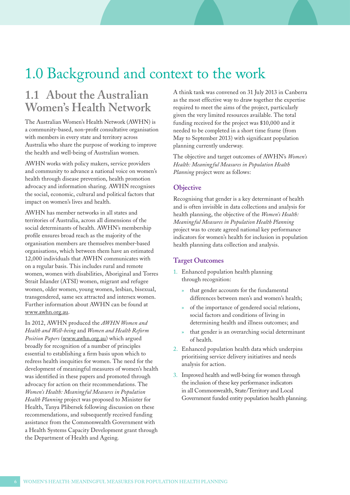# 1.0 Background and context to the work

## **1.1 About the Australian Women's Health Network**

The Australian Women's Health Network (AWHN) is a community-based, non-profit consultative organisation with members in every state and territory across Australia who share the purpose of working to improve the health and well-being of Australian women.

AWHN works with policy makers, service providers and community to advance a national voice on women's health through disease prevention, health promotion advocacy and information sharing. AWHN recognises the social, economic, cultural and political factors that impact on women's lives and health.

AWHN has member networks in all states and territories of Australia, across all dimensions of the social determinants of health. AWHN's membership profile ensures broad reach as the majority of the organisation members are themselves member-based organisations, which between them have an estimated 12,000 individuals that AWHN communicates with on a regular basis. This includes rural and remote women, women with disabilities, Aboriginal and Torres Strait Islander (ATSI) women, migrant and refugee women, older women, young women, lesbian, bisexual, transgendered, same sex attracted and intersex women. Further information about AWHN can be found at [www.awhn.org.au.](http://www.awhn.org.au)

In 2012, AWHN produced the *AWHN Women and Health and Well-being* and *Women and Health Reform Position Papers* ([www.awhn.org.au](http://www.awhn.org.au)) which argued broadly for recognition of a number of principles essential to establishing a firm basis upon which to redress health inequities for women. The need for the development of meaningful measures of women's health was identified in these papers and promoted through advocacy for action on their recommendations. The *Women's Health: Meaningful Measures in Population Health Planning* project was proposed to Minister for Health, Tanya Plibersek following discussion on these recommendations, and subsequently received funding assistance from the Commonwealth Government with a Health Systems Capacity Development grant through the Department of Health and Ageing.

A think tank was convened on 31 July 2013 in Canberra as the most effective way to draw together the expertise required to meet the aims of the project, particularly given the very limited resources available. The total funding received for the project was \$10,000 and it needed to be completed in a short time frame (from May to September 2013) with significant population planning currently underway.

The objective and target outcomes of AWHN's *Women's Health: Meaningful Measures in Population Health Planning* project were as follows:

### **Objective**

Recognising that gender is a key determinant of health and is often invisible in data collections and analysis for health planning, the objective of the *Women's Health: Meaningful Measures in Population Health Planning* project was to create agreed national key performance indicators for women's health for inclusion in population health planning data collection and analysis.

### **Target Outcomes**

- 1. Enhanced population health planning through recognition:
	- that gender accounts for the fundamental differences between men's and women's health;
	- of the importance of gendered social relations, social factors and conditions of living in determining health and illness outcomes; and
	- that gender is an overarching social determinant of health.
- 2. Enhanced population health data which underpins prioritising service delivery initiatives and needs analysis for action.
- 3. Improved health and well-being for women through the inclusion of these key performance indicators in all Commonwealth, State/Territory and Local Government funded entity population health planning.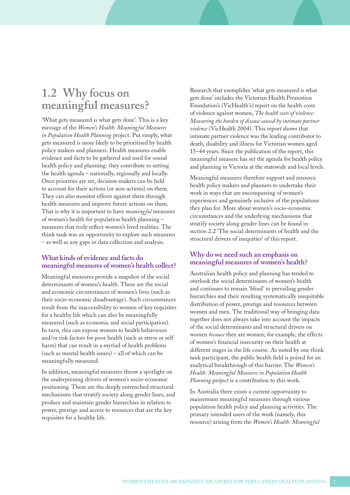## **1.2 Why focus on meaningful measures?**

'What gets measured is what gets done'. This is a key message of the *Women's Health: Meaningful Measures in Population Health Planning* project. Put simply, what gets measured is more likely to be prioritised by health policy makers and planners. Health measures enable evidence and facts to be gathered and used for sound health policy and planning: they contribute to setting the health agenda – nationally, regionally and locally. Once priorities are set, decision-makers can be held to account for their actions (or non-actions) on them. They can also monitor efforts against them through health measures and improve future actions on them. That is why it is important to have *meaningful* measures of women's health for population health planning – measures that truly reflect women's lived realities. The think tank was an opportunity to explore such measures – as well as any gaps in data collection and analysis.

### **What kinds of evidence and facts do meaningful measures of women's health collect?**

Meaningful measures provide a snapshot of the social determinants of women's health. These are the social and economic circumstances of women's lives (such as their socio-economic disadvantage). Such circumstances result from the inaccessibility to women of key requisites for a healthy life which can also be meaningfully measured (such as economic and social participation). In turn, this can expose women to health behaviours and/or risk factors for poor health (such as stress or self harm) that can result in a myriad of health problems (such as mental health issues) – all of which can be meaningfully measured.

In addition, meaningful measures throw a spotlight on the underpinning drivers of women's socio-economic positioning. These are the deeply entrenched structural mechanisms that stratify society along gender lines, and produce and maintain gender hierarchies in relation to power, prestige and access to resources that are the key requisites for a healthy life.

Research that exemplifies 'what gets measured is what gets done' includes the Victorian Health Promotion Foundation's (VicHealth's) report on the health costs of violence against women, *The health costs of violence: Measuring the burden of disease caused by intimate partner violence* (VicHealth 2004). This report shows that intimate partner violence was the leading contributor to death, disability and illness for Victorian women aged 15–44 years. Since the publication of the report, this meaningful measure has set the agenda for health policy and planning in Victoria at the statewide and local levels.

Meaningful measures therefore support and resource health policy makers and planners to undertake their work in ways that are encompassing of women's experiences and genuinely inclusive of the populations they plan for. More about women's socio-economic circumstances and the underlying mechanisms that stratify society along gender lines can be found in section 2.2 'The social determinants of health and the structural drivers of inequities' of this report.

### **Why do we need such an emphasis on meaningful measures of women's health?**

Australian health policy and planning has tended to overlook the social determinants of women's health and continues to remain 'blind' to prevailing gender hierarchies and their resulting systematically inequitable distribution of power, prestige and resources between women and men. The traditional way of bringing data together does not always take into account the impacts of the social determinants and structural drivers on women *because* they are women; for example, the effects of women's financial insecurity on their health at different stages in the life course. As noted by one think tank participant, the public health field is poised for an analytical breakthrough of this barrier. The *Women's Health: Meaningful Measures in Population Health Planning* project is a contribution to this work.

In Australia there exists a current opportunity to mainstream meaningful measures through various population health policy and planning activities. The primary intended users of the work (namely, this resource) arising from the *Women's Health: Meaningful*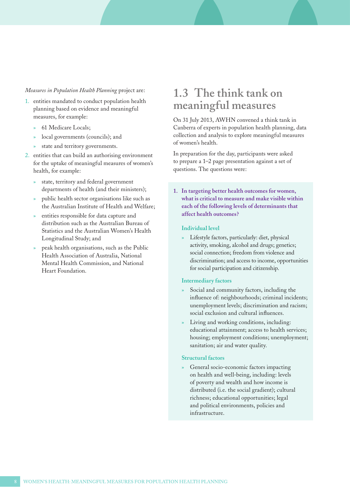### <span id="page-7-0"></span>*Measures in Population Health Planning* project are:

- 1. entities mandated to conduct population health planning based on evidence and meaningful measures, for example:
	- » 61 Medicare Locals;
	- local governments (councils); and
	- state and territory governments.
- 2. entities that can build an authorising environment for the uptake of meaningful measures of women's health, for example:
	- state, territory and federal government departments of health (and their ministers);
	- » public health sector organisations like such as the Australian Institute of Health and Welfare;
	- » entities responsible for data capture and distribution such as the Australian Bureau of Statistics and the Australian Women's Health Longitudinal Study; and
	- » peak health organisations, such as the Public Health Association of Australia, National Mental Health Commission, and National Heart Foundation.

## **1.3 The think tank on meaningful measures**

On 31 July 2013, AWHN convened a think tank in Canberra of experts in population health planning, data collection and analysis to explore meaningful measures of women's health.

In preparation for the day, participants were asked to prepare a 1–2 page presentation against a set of questions. The questions were:

**1. In targeting better health outcomes for women, what is critical to measure and make visible within each of the following levels of determinants that affect health outcomes?**

### **Individual level**

Lifestyle factors, particularly: diet, physical activity, smoking, alcohol and drugs; genetics; social connection; freedom from violence and discrimination; and access to income, opportunities for social participation and citizenship.

### **Intermediary factors**

- Social and community factors, including the influence of: neighbourhoods; criminal incidents; unemployment levels; discrimination and racism; social exclusion and cultural influences.
- Living and working conditions, including: educational attainment; access to health services; housing; employment conditions; unemployment; sanitation; air and water quality.

#### **Structural factors**

General socio-economic factors impacting on health and well-being, including: levels of poverty and wealth and how income is distributed (i.e. the social gradient); cultural richness; educational opportunities; legal and political environments, policies and infrastructure.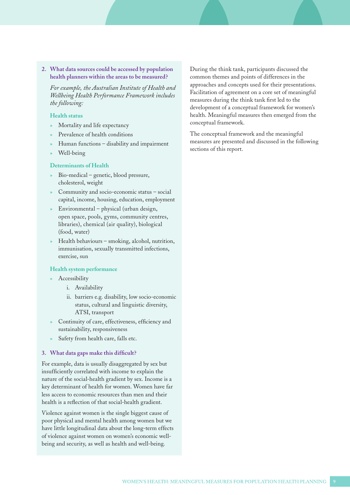<span id="page-8-0"></span>**2. What data sources could be accessed by population health planners within the areas to be measured?**

*For example, the Australian Institute of Health and Wellbeing Health Performance Framework includes the following:*

### **Health status**

- » Mortality and life expectancy
- » Prevalence of health conditions
- » Human functions disability and impairment
- » Well-being

#### **Determinants of Health**

- » Bio-medical genetic, blood pressure, cholesterol, weight
- Community and socio-economic status social capital, income, housing, education, employment
- » Environmental physical (urban design, open space, pools, gyms, community centres, libraries), chemical (air quality), biological (food, water)
- » Health behaviours smoking, alcohol, nutrition, immunisation, sexually transmitted infections, exercise, sun

#### **Health system performance**

- » Accessibility
	- i. Availability
	- ii. barriers e.g. disability, low socio-economic status, cultural and linguistic diversity, ATSI, transport
- Continuity of care, effectiveness, efficiency and sustainability, responsiveness
- Safety from health care, falls etc.

#### **3. What data gaps make this difficult?**

For example, data is usually disaggregated by sex but insufficiently correlated with income to explain the nature of the social-health gradient by sex. Income is a key determinant of health for women. Women have far less access to economic resources than men and their health is a reflection of that social-health gradient.

Violence against women is the single biggest cause of poor physical and mental health among women but we have little longitudinal data about the long-term effects of violence against women on women's economic wellbeing and security, as well as health and well-being.

During the think tank, participants discussed the common themes and points of differences in the approaches and concepts used for their presentations. Facilitation of agreement on a core set of meaningful measures during the think tank first led to the development of a conceptual framework for women's health. Meaningful measures then emerged from the conceptual framework.

The conceptual framework and the meaningful measures are presented and discussed in the following sections of this report.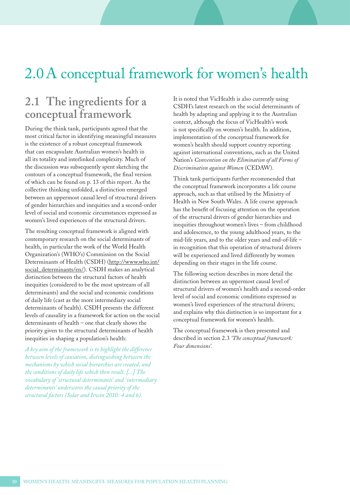# <span id="page-9-0"></span>2.0 A conceptual framework for women's health

## **2.1 The ingredients for a conceptual framework**

During the think tank, participants agreed that the most critical factor in identifying meaningful measures is the existence of a robust conceptual framework that can encapsulate Australian women's health in all its totality and interlinked complexity. Much of the discussion was subsequently spent sketching the contours of a conceptual framework, the final version of which can be found on p. 13 of this report. As the collective thinking unfolded, a distinction emerged between an uppermost causal level of structural drivers of gender hierarchies and inequities and a second-order level of social and economic circumstances expressed as women's lived experiences of the structural drivers.

The resulting conceptual framework is aligned with contemporary research on the social determinants of health, in particular the work of the World Health Organization's (WHO's) Commission on the Social Determinants of Health (CSDH) ([http://www.who.int/](http://www.who.int/social_determinants/en/) [social\\_determinants/en/\)](http://www.who.int/social_determinants/en/). CSDH makes an analytical distinction between the structural factors of health inequities (considered to be the most upstream of all determinants) and the social and economic conditions of daily life (cast as the more intermediary social determinants of health). CSDH presents the different levels of causality in a framework for action on the social determinants of health – one that clearly shows the priority given to the structural determinants of health inequities in shaping a population's health:

*A key aim of the framework is to highlight the difference between levels of causation, distinguishing between the mechanisms by which social hierarchies are created, and the conditions of daily life which then result. [...] The vocabulary of 'structural determinants' and 'intermediary determinants' underscores the causal priority of the structural factors (Solar and Irwin 2010: 4 and 6).* 

It is noted that VicHealth is also currently using CSDH's latest research on the social determinants of health by adapting and applying it to the Australian context, although the focus of VicHealth's work is not specifically on women's health. In addition, implementation of the conceptual framework for women's health should support country reporting against international conventions, such as the United Nation's *Convention on the Elimination of all Forms of Discrimination against Women* (CEDAW).

Think tank participants further recommended that the conceptual framework incorporates a life course approach, such as that utilised by the Ministry of Health in New South Wales. A life course approach has the benefit of focusing attention on the operation of the structural drivers of gender hierarchies and inequities throughout women's lives – from childhood and adolescence, to the young adulthood years, to the mid-life years, and to the older years and end-of-life – in recognition that this operation of structural drivers will be experienced and lived differently by women depending on their stages in the life course.

The following section describes in more detail the distinction between an uppermost causal level of structural drivers of women's health and a second-order level of social and economic conditions expressed as women's lived experiences of the structural drivers; and explains why this distinction is so important for a conceptual framework for women's health.

The conceptual framework is then presented and described in section 2.3 *'The conceptual framework: Four dimensions'.*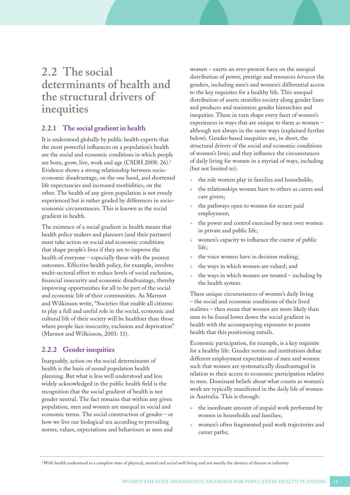## <span id="page-10-0"></span>**2.2 The social determinants of health and the structural drivers of inequities**

## **2.2.1 The social gradient in health**

It is understood globally by public health experts that the most powerful influences on a population's health are the social and economic conditions in which people are born, grow, live, work and age (CSDH 2008: 26).<sup>1</sup> Evidence shows a strong relationship between socioeconomic disadvantage, on the one hand, and shortened life expectancies and increased morbidities, on the other. The health of any given population is not evenly experienced but is rather graded by differences in socioeconomic circumstances. This is known as the social gradient in health.

The existence of a social gradient in health means that health policy makers and planners (and their partners) must take action on social and economic conditions that shape people's lives if they are to improve the health of everyone – especially those with the poorest outcomes. Effective health policy, for example, involves multi-sectoral effort to reduce levels of social exclusion, financial insecurity and economic disadvantage, thereby improving opportunities for all to be part of the social and economic life of their communities. As Marmot and Wilkinson write, "Societies that enable all citizens to play a full and useful role in the social, economic and cultural life of their society will be healthier than those where people face insecurity, exclusion and deprivation" (Marmot and Wilkinson, 2003: 11).

## **2.2.2 Gender inequities**

Inarguably, action on the social determinants of health is the basis of sound population health planning. But what is less well understood and less widely acknowledged in the public health field is the recognition that the social gradient of health is not gender neutral. The fact remains that within any given population, men and women are unequal in social and economic terms. The social construction of gender – or how we live our biological sex according to prevailing norms, values, expectations and behaviours as men and

women – exerts an ever-present force on the unequal distribution of power, prestige and resources *between* the genders, including men's and women's differential access to the key requisites for a healthy life. This unequal distribution of assets stratifies society along gender lines and produces and maintains gender hierarchies and inequities. These in turn shape every facet of women's experiences in ways that are unique to them *as* women – although not always in the same ways (explained further below). Gender-based inequities are, in short, the structural drivers of the social and economic conditions of women's lives; and they influence the circumstances of daily living for women in a myriad of ways, including (but not limited to):

- the role women play in families and households;
- the relationships women have to others as carers and care givers;
- the pathways open to women for secure paid employment;
- the power and control exercised by men over women in private and public life;
- women's capacity to influence the course of public life;
- the voice women have in decision making;
- the ways in which women are valued; and
- the ways in which women are treated including by the health system.

These unique circumstances of women's daily living – the social and economic conditions of their lived realities – then mean that women are more likely than men to be found lower down the social gradient in health with the accompanying exposures to poorer health that this positioning entails.

Economic participation, for example, is a key requisite for a healthy life. Gender norms and institutions define different employment expectations of men and women such that women are systematically disadvantaged in relation to their access to economic participation relative to men. Dominant beliefs about what counts as women's work are typically manifested in the daily life of women in Australia. This is through:

- the inordinate amount of unpaid work performed by women in households and families;
- » women's often fragmented paid work trajectories and career paths;

<sup>1</sup> With health understood as a complete state of physical, mental and social well-being and not merely the absence of disease or infirmity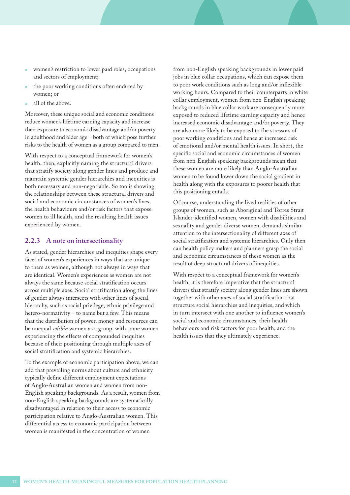- <span id="page-11-0"></span>» women's restriction to lower paid roles, occupations and sectors of employment;
- the poor working conditions often endured by women; or
- » all of the above.

Moreover, these unique social and economic conditions reduce women's lifetime earning capacity and increase their exposure to economic disadvantage and/or poverty in adulthood and older age – both of which pose further risks to the health of women as a group compared to men.

With respect to a conceptual framework for women's health, then, explicitly naming the structural drivers that stratify society along gender lines and produce and maintain systemic gender hierarchies and inequities is both necessary and non-negotiable. So too is showing the relationships between these structural drivers and social and economic circumstances of women's lives, the health behaviours and/or risk factors that expose women to ill health, and the resulting health issues experienced by women.

## **2.2.3 A note on intersectionality**

As stated, gender hierarchies and inequities shape every facet of women's experiences in ways that are unique to them as women, although not always in ways that are identical. Women's experiences as women are not always the same because social stratification occurs across multiple axes. Social stratification along the lines of gender always intersects with other lines of social hierarchy, such as racial privilege, ethnic privilege and hetero-normativity – to name but a few. This means that the distribution of power, money and resources can be unequal *within* women as a group, with some women experiencing the effects of compounded inequities because of their positioning through multiple axes of social stratification and systemic hierarchies.

To the example of economic participation above, we can add that prevailing norms about culture and ethnicity typically define different employment expectations of Anglo-Australian women and women from non-English speaking backgrounds. As a result, women from non-English speaking backgrounds are systematically disadvantaged in relation to their access to economic participation relative to Anglo-Australian women. This differential access to economic participation between women is manifested in the concentration of women

from non-English speaking backgrounds in lower paid jobs in blue collar occupations, which can expose them to poor work conditions such as long and/or inflexible working hours. Compared to their counterparts in white collar employment, women from non-English speaking backgrounds in blue collar work are consequently more exposed to reduced lifetime earning capacity and hence increased economic disadvantage and/or poverty. They are also more likely to be exposed to the stressors of poor working conditions and hence at increased risk of emotional and/or mental health issues. In short, the specific social and economic circumstances of women from non-English speaking backgrounds mean that these women are more likely than Anglo-Australian women to be found lower down the social gradient in health along with the exposures to poorer health that this positioning entails.

Of course, understanding the lived realities of other groups of women, such as Aboriginal and Torres Strait Islander-identified women, women with disabilities and sexuality and gender diverse women, demands similar attention to the intersectionality of different axes of social stratification and systemic hierarchies. Only then can health policy makers and planners grasp the social and economic circumstances of these women as the result of deep structural drivers of inequities.

With respect to a conceptual framework for women's health, it is therefore imperative that the structural drivers that stratify society along gender lines are shown together with other axes of social stratification that structure social hierarchies and inequities, and which in turn intersect with one another to influence women's social and economic circumstances, their health behaviours and risk factors for poor health, and the health issues that they ultimately experience.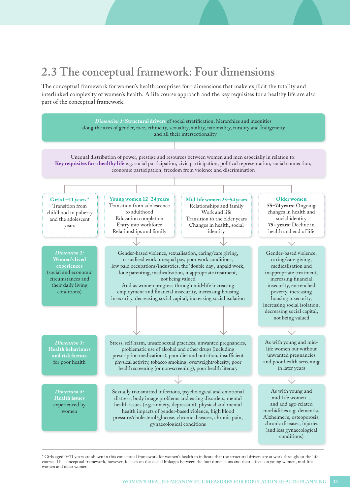# **2.3 The conceptual framework: Four dimensions**

The conceptual framework for women's health comprises four dimensions that make explicit the totality and interlinked complexity of women's health. A life course approach and the key requisites for a healthy life are also part of the conceptual framework.



<sup>\*</sup> Girls aged 0–11 years are shown in this conceptual framework for women's health to indicate that the structural drivers are at work throughout the life course. The conceptual framework, however, focuses on the causal linkages between the four dimensions and their effects on young women, mid-life women and older women.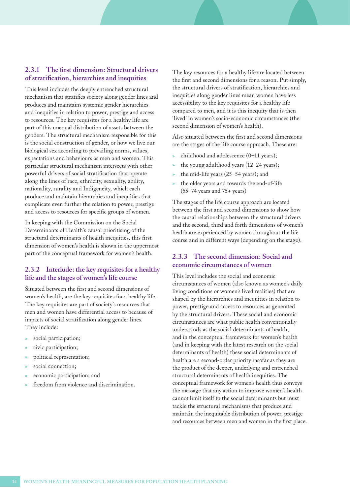### <span id="page-13-0"></span>**2.3.1 The first dimension: Structural drivers of stratification, hierarchies and inequities**

This level includes the deeply entrenched structural mechanism that stratifies society along gender lines and produces and maintains systemic gender hierarchies and inequities in relation to power, prestige and access to resources. The key requisites for a healthy life are part of this unequal distribution of assets between the genders. The structural mechanism responsible for this is the social construction of gender, or how we live our biological sex according to prevailing norms, values, expectations and behaviours as men and women. This particular structural mechanism intersects with other powerful drivers of social stratification that operate along the lines of race, ethnicity, sexuality, ability, nationality, rurality and Indigeneity, which each produce and maintain hierarchies and inequities that complicate even further the relation to power, prestige and access to resources for specific groups of women.

In keeping with the Commission on the Social Determinants of Health's causal prioritising of the structural determinants of health inequities, this first dimension of women's health is shown in the uppermost part of the conceptual framework for women's health.

### **2.3.2 Interlude: the key requisites for a healthy life and the stages of women's life course**

Situated between the first and second dimensions of women's health, are the key requisites for a healthy life. The key requisites are part of society's resources that men and women have differential access to because of impacts of social stratification along gender lines. They include:

- social participation;
- civic participation;
- » political representation;
- social connection;
- economic participation; and
- freedom from violence and discrimination.

The key resources for a healthy life are located between the first and second dimensions for a reason. Put simply, the structural drivers of stratification, hierarchies and inequities along gender lines mean women have less accessibility to the key requisites for a healthy life compared to men, and it is this inequity that is then 'lived' in women's socio-economic circumstances (the second dimension of women's health).

Also situated between the first and second dimensions are the stages of the life course approach. These are:

- » childhood and adolescence (0–11 years);
- the young adulthood years (12–24 years);
- » the mid-life years (25–54 years); and
- the older years and towards the end-of-life (55–74 years and 75+ years)

The stages of the life course approach are located between the first and second dimensions to show how the causal relationships between the structural drivers and the second, third and forth dimensions of women's health are experienced by women throughout the life course and in different ways (depending on the stage).

## **2.3.3 The second dimension: Social and economic circumstances of women**

This level includes the social and economic circumstances of women (also known as women's daily living conditions or women's lived realities) that are shaped by the hierarchies and inequities in relation to power, prestige and access to resources as generated by the structural drivers. These social and economic circumstances are what public health conventionally understands as the social determinants of health; and in the conceptual framework for women's health (and in keeping with the latest research on the social determinants of health) these social determinants of health are a second-order priority insofar as they are the product of the deeper, underlying and entrenched structural determinants of health inequities. The conceptual framework for women's health thus conveys the message that any action to improve women's health cannot limit itself to the social determinants but must tackle the structural mechanisms that produce and maintain the inequitable distribution of power, prestige and resources between men and women in the first place.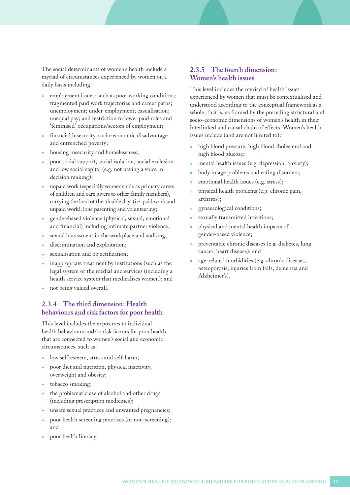<span id="page-14-0"></span>The social determinants of women's health include a myriad of circumstances experienced by women on a daily basis including:

- employment issues: such as poor working conditions; fragmented paid work trajectories and career paths; unemployment; under-employment; casualisation; unequal pay; and restriction to lower paid roles and 'feminised' occupations/sectors of employment;
- » financial insecurity, socio-economic disadvantage and entrenched poverty;
- housing insecurity and homelessness;
- » poor social support, social isolation, social exclusion and low social capital (e.g. not having a voice in decision making);
- » unpaid work (especially women's role as primary carers of children and care givers to other family members), carrying the load of the 'double day' (i.e. paid work and unpaid work), lone parenting and volunteering;
- » gender-based violence (physical, sexual, emotional and financial) including intimate partner violence;
- sexual harassment in the workplace and stalking;
- discrimination and exploitation;
- sexualisation and objectification;
- inappropriate treatment by institutions (such as the legal system or the media) and services (including a health service system that medicalises women); and
- not being valued overall.

## **2.3.4 The third dimension: Health behaviours and risk factors for poor health**

This level includes the exposures to individual health behaviours and/or risk factors for poor health that are connected to women's social and economic circumstances, such as:

- low self-esteem, stress and self-harm;
- » poor diet and nutrition, physical inactivity, overweight and obesity;
- tobacco smoking;
- the problematic use of alcohol and other drugs (including prescription medicines);
- unsafe sexual practices and unwanted pregnancies;
- » poor health screening practices (or non-screening); and
- poor health literacy.

## **2.3.5 The fourth dimension: Women's health issues**

This level includes the myriad of health issues experienced by women that must be contextualised and understood according to the conceptual framework as a whole; that is, as framed by the preceding structural and socio-economic dimensions of women's health in their interlinked and causal chain of effects. Women's health issues include (and are not limited to):

- high blood pressure, high blood cholesterol and high blood glucose;
- mental health issues (e.g. depression, anxiety);
- body image problems and eating disorders;
- emotional health issues (e.g. stress);
- » physical health problems (e.g. chronic pain, arthritis);
- » gynaecological conditions;
- sexually transmitted infections;
- » physical and mental health impacts of gender-based violence;
- » preventable chronic diseases (e.g. diabetes, lung cancer, heart disease); and
- » age-related morbidities (e.g. chronic diseases, osteoporosis, injuries from falls, dementia and Alzheimer's).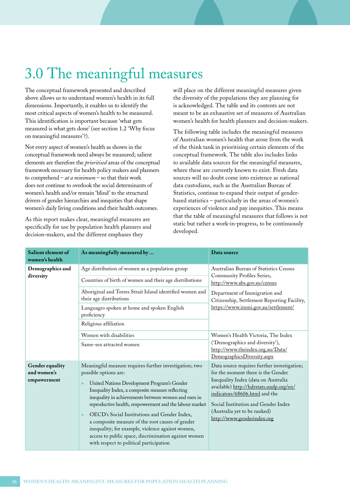# 3.0 The meaningful measures

The conceptual framework presented and described above allows us to understand women's health in its full dimensions. Importantly, it enables us to identify the most critical aspects of women's health to be measured. This identification is important because 'what gets measured is what gets done' (see section 1.2 'Why focus on meaningful measures'?).

Not every aspect of women's health as shown in the conceptual framework need always be measured; salient elements are therefore the *prioritised* areas of the conceptual framework necessary for health policy makers and planners to comprehend – *at a minimum* – so that their work does not continue to overlook the social determinants of women's health and/or remain 'blind' to the structural drivers of gender hierarchies and inequities that shape women's daily living conditions and their health outcomes.

As this report makes clear, meaningful measures are specifically for use by population health planners and decision-makers, and the different emphases they

will place on the different meaningful measures given the diversity of the populations they are planning for is acknowledged. The table and its contents are not meant to be an exhaustive set of measures of Australian women's health for health planners and decision-makers.

The following table includes the meaningful measures of Australian women's health that arose from the work of the think tank in prioritising certain elements of the conceptual framework. The table also includes links to available data sources for the meaningful measures, where these are currently known to exist. Fresh data sources will no doubt come into existence as national data custodians, such as the Australian Bureau of Statistics, continue to expand their output of genderbased statistics – particularly in the areas of women's experiences of violence and pay inequities. This means that the table of meaningful measures that follows is not static but rather a work-in-progress, to be continuously developed.

| Salient element of<br>women's health          | As meaningfully measured by                                                                                                                                                                                                                                                                                                                                                                                                                                                                                                                                                              | Data source                                                                                                                                                                                                                                                                                               |
|-----------------------------------------------|------------------------------------------------------------------------------------------------------------------------------------------------------------------------------------------------------------------------------------------------------------------------------------------------------------------------------------------------------------------------------------------------------------------------------------------------------------------------------------------------------------------------------------------------------------------------------------------|-----------------------------------------------------------------------------------------------------------------------------------------------------------------------------------------------------------------------------------------------------------------------------------------------------------|
| Demographics and<br>diversity                 | Age distribution of women as a population group<br>Countries of birth of women and their age distributions<br>Aboriginal and Torres Strait Island identified women and<br>their age distributions<br>Languages spoken at home and spoken English<br>proficiency<br>Religious affiliation                                                                                                                                                                                                                                                                                                 | Australian Bureau of Statistics Census<br>Community Profiles Series,<br>http://www.abs.gov.au/census<br>Department of Immigration and<br>Citizenship, Settlement Reporting Facility,<br>https://www.immi.gov.au/settlement/                                                                               |
|                                               | Women with disabilities<br>Same-sex attracted women                                                                                                                                                                                                                                                                                                                                                                                                                                                                                                                                      | Women's Health Victoria, The Index<br>('Demographics and diversity'),<br>http://www.theindex.org.au/Data/<br>DemographicsDiversity.aspx                                                                                                                                                                   |
| Gender equality<br>and women's<br>empowerment | Meaningful measure requires further investigation; two<br>possible options are:<br>United Nations Development Program's Gender<br>$\mathcal{P}$<br>Inequality Index, a composite measure reflecting<br>inequality in achievements between women and men in<br>reproductive health, empowerment and the labour market<br>OECD's Social Institutions and Gender Index,<br>$\gg$<br>a composite measure of the root causes of gender<br>inequality; for example, violence against women,<br>access to public space, discrimination against women<br>with respect to political participation | Data source requires further investigation;<br>for the moment there is the Gender<br>Inequality Index (data on Australia<br>available) http://hdrstats.undp.org/en/<br>indicators/68606.html and the<br>Social Institution and Gender Index<br>(Australia yet to be ranked)<br>http://www.genderindex.org |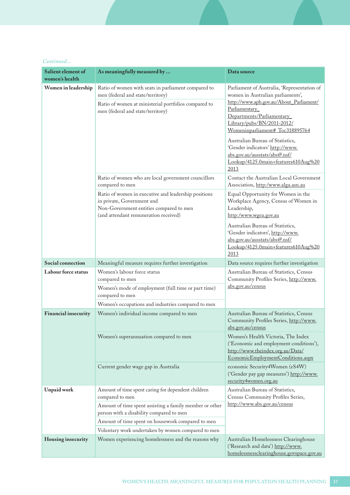<span id="page-16-0"></span>

|  | Continued |
|--|-----------|
|  |           |

| Salient element of<br>women's health | As meaningfully measured by                                                                                                                                                                                                                                                             | Data source                                                                                                                                                                                                                                                                                                                                                                                       |
|--------------------------------------|-----------------------------------------------------------------------------------------------------------------------------------------------------------------------------------------------------------------------------------------------------------------------------------------|---------------------------------------------------------------------------------------------------------------------------------------------------------------------------------------------------------------------------------------------------------------------------------------------------------------------------------------------------------------------------------------------------|
| Women in leadership                  | Ratio of women with seats in parliament compared to<br>men (federal and state/territory)<br>Ratio of women at ministerial portfolios compared to<br>men (federal and state/territory)                                                                                                   | Parliament of Australia, 'Representation of<br>women in Australian parliaments',<br>http://www.aph.gov.au/About_Parliament/<br>Parliamentary<br>Departments/Parliamentary<br>Library/pubs/BN/2011-2012/<br>Womeninparliament# Toc318895764<br>Australian Bureau of Statistics,<br>'Gender indicators' http://www.<br>abs.gov.au/ausstats/abs@.nsf/<br>Lookup/4125.0main+features610Aug%20<br>2013 |
|                                      | Ratio of women who are local government councillors<br>compared to men                                                                                                                                                                                                                  | Contact the Australian Local Government<br>Association, http:/www.alga.asn.au                                                                                                                                                                                                                                                                                                                     |
|                                      | Ratio of women in executive and leadership positions<br>in private, Government and<br>Non-Government entities compared to men<br>(and attendant remuneration received)                                                                                                                  | Equal Opportunity for Women in the<br>Workplace Agency, Census of Women in<br>Leadership,<br>http:/www.wgea.gov.au<br>Australian Bureau of Statistics,<br>'Gender indicators', http://www.<br>abs.gov.au/ausstats/abs@.nsf/                                                                                                                                                                       |
|                                      |                                                                                                                                                                                                                                                                                         | Lookup/4125.0main+features610Aug%20<br>2013                                                                                                                                                                                                                                                                                                                                                       |
| Social connection                    | Meaningful measure requires further investigation                                                                                                                                                                                                                                       | Data source requires further investigation                                                                                                                                                                                                                                                                                                                                                        |
| Labour force status                  | Women's labour force status<br>compared to men<br>Women's mode of employment (full time or part time)<br>compared to men<br>Women's occupations and industries compared to men                                                                                                          | Australian Bureau of Statistics, Census<br>Community Profiles Series, http://www.<br>abs.gov.au/census                                                                                                                                                                                                                                                                                            |
| <b>Financial insecurity</b>          | Women's individual income compared to men                                                                                                                                                                                                                                               | Australian Bureau of Statistics, Census<br>Community Profiles Series, http://www.<br>abs.gov.au/census                                                                                                                                                                                                                                                                                            |
|                                      | Women's superannuation compared to men                                                                                                                                                                                                                                                  | Women's Health Victoria, The Index<br>('Economic and employment conditions'),<br>http://www.theindex.org.au/Data/<br>EconomicEmploymentConditions.aspx                                                                                                                                                                                                                                            |
|                                      | Current gender wage gap in Australia                                                                                                                                                                                                                                                    | economic Security4Women (eS4W)<br>('Gender pay gap measures') http://www.<br>security4women.org.au                                                                                                                                                                                                                                                                                                |
| <b>Unpaid work</b>                   | Amount of time spent caring for dependent children<br>compared to men<br>Amount of time spent assisting a family member or other<br>person with a disability compared to men<br>Amount of time spent on housework compared to men<br>Voluntary work undertaken by women compared to men | Australian Bureau of Statistics,<br>Census Community Profiles Series,<br>http://www.abs.gov.au/census                                                                                                                                                                                                                                                                                             |
| Housing insecurity                   | Women experiencing homelessness and the reasons why                                                                                                                                                                                                                                     | Australian Homelessness Clearinghouse<br>('Research and data') http://www.<br>homelessnessclearinghouse.govspace.gov.au                                                                                                                                                                                                                                                                           |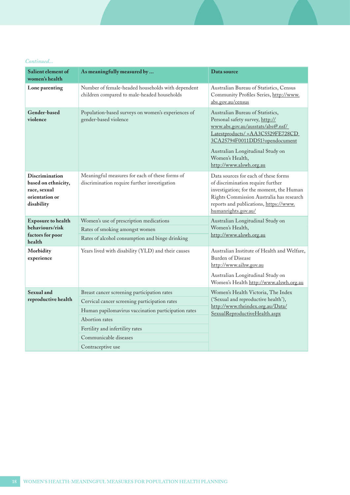### <span id="page-17-0"></span>*Continued...*

| As meaningfully measured by                                                                                                                                                                                                       | Data source                                                                                                                                                                                                                                                       |
|-----------------------------------------------------------------------------------------------------------------------------------------------------------------------------------------------------------------------------------|-------------------------------------------------------------------------------------------------------------------------------------------------------------------------------------------------------------------------------------------------------------------|
| Number of female-headed households with dependent<br>children compared to male-headed households                                                                                                                                  | Australian Bureau of Statistics, Census<br>Community Profiles Series, http://www.<br>abs.gov.au/census                                                                                                                                                            |
| Population-based surveys on women's experiences of<br>gender-based violence                                                                                                                                                       | Australian Bureau of Statistics,<br>Personal safety survey, http://<br>www.abs.gov.au/ausstats/abs@.nsf/<br>Latestproducts/ = AA3C5529FE728CD<br>3CA25794F0011DD51?opendocument<br>Australian Longitudinal Study on<br>Women's Health,<br>http://www.alswh.org.au |
| Meaningful measures for each of these forms of<br>discrimination require further investigation                                                                                                                                    | Data sources for each of these forms<br>of discrimination require further<br>investigation; for the moment, the Human<br>Rights Commission Australia has research<br>reports and publications, https://www.<br>humanrights.gov.au/                                |
| Women's use of prescription medications<br>Rates of smoking amongst women<br>Rates of alcohol consumption and binge drinking                                                                                                      | Australian Longitudinal Study on<br>Women's Health,<br>http://www.alswh.org.au                                                                                                                                                                                    |
| Years lived with disability (YLD) and their causes                                                                                                                                                                                | Australian Institute of Health and Welfare,<br>Burden of Disease<br>http://www.aihw.gov.au<br>Australian Longitudinal Study on<br>Women's Health http://www.alswh.org.au                                                                                          |
| Breast cancer screening participation rates<br>Cervical cancer screening participation rates<br>Human papilomavirus vaccination participation rates<br>Abortion rates<br>Fertility and infertility rates<br>Communicable diseases | Women's Health Victoria, The Index<br>('Sexual and reproductive health'),<br>http://www.theindex.org.au/Data/<br>SexualReproductiveHealth.aspx                                                                                                                    |
|                                                                                                                                                                                                                                   | Contraceptive use                                                                                                                                                                                                                                                 |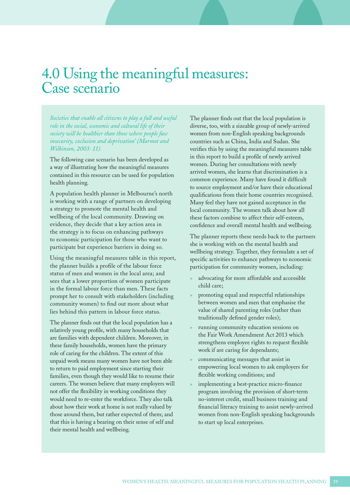# 4.0 Using the meaningful measures: Case scenario

*Societies that enable all citizens to play a full and useful role in the social, economic and cultural life of their society will be healthier than those where people face insecurity, exclusion and deprivation' (Marmot and Wilkinson, 2003: 11).* 

The following case scenario has been developed as a way of illustrating how the meaningful measures contained in this resource can be used for population health planning.

A population health planner in Melbourne's north is working with a range of partners on developing a strategy to promote the mental health and wellbeing of the local community. Drawing on evidence, they decide that a key action area in the strategy is to focus on enhancing pathways to economic participation for those who want to participate but experience barriers in doing so.

Using the meaningful measures table in this report, the planner builds a profile of the labour force status of men and women in the local area; and sees that a lower proportion of women participate in the formal labour force than men. These facts prompt her to consult with stakeholders (including community women) to find out more about what lies behind this pattern in labour force status.

The planner finds out that the local population has a relatively young profile, with many households that are families with dependent children. Moreover, in these family households, women have the primary role of caring for the children. The extent of this unpaid work means many women have not been able to return to paid employment since starting their families, even though they would like to resume their careers. The women believe that many employers will not offer the flexibility in working conditions they would need to re-enter the workforce. They also talk about how their work at home is not really valued by those around them, but rather expected of them; and that this is having a bearing on their sense of self and their mental health and wellbeing.

The planner finds out that the local population is diverse, too, with a sizeable group of newly-arrived women from non-English speaking backgrounds countries such as China, India and Sudan. She verifies this by using the meaningful measures table in this report to build a profile of newly arrived women. During her consultations with newly arrived women, she learns that discrimination is a common experience. Many have found it difficult to source employment and/or have their educational qualifications from their home countries recognised. Many feel they have not gained acceptance in the local community. The women talk about how all these factors combine to affect their self-esteem, confidence and overall mental health and wellbeing.

The planner reports these needs back to the partners she is working with on the mental health and wellbeing strategy. Together, they formulate a set of specific activities to enhance pathways to economic participation for community women, including:

- advocating for more affordable and accessible child care;
- » promoting equal and respectful relationships between women and men that emphasise the value of shared parenting roles (rather than traditionally defined gender roles);
- running community education sessions on the Fair Work Amendment Act 2013 which strengthens employee rights to request flexible work if are caring for dependants;
- » communicating messages that assist in empowering local women to ask employers for flexible working conditions; and
- implementing a best-practice micro-finance program involving the provision of short-term no-interest credit, small business training and financial literacy training to assist newly-arrived women from non-English speaking backgrounds to start up local enterprises.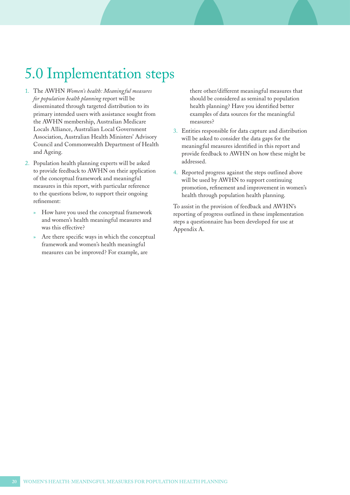# <span id="page-19-0"></span>5.0 Implementation steps

- 1. The AWHN *Women's health: Meaningful measures for population health planning* report will be disseminated through targeted distribution to its primary intended users with assistance sought from the AWHN membership, Australian Medicare Locals Alliance, Australian Local Government Association, Australian Health Ministers' Advisory Council and Commonwealth Department of Health and Ageing.
- 2. Population health planning experts will be asked to provide feedback to AWHN on their application of the conceptual framework and meaningful measures in this report, with particular reference to the questions below, to support their ongoing refinement:
	- » How have you used the conceptual framework and women's health meaningful measures and was this effective?
	- Are there specific ways in which the conceptual framework and women's health meaningful measures can be improved? For example, are

there other/different meaningful measures that should be considered as seminal to population health planning? Have you identified better examples of data sources for the meaningful measures?

- 3. Entities responsible for data capture and distribution will be asked to consider the data gaps for the meaningful measures identified in this report and provide feedback to AWHN on how these might be addressed.
- 4. Reported progress against the steps outlined above will be used by AWHN to support continuing promotion, refinement and improvement in women's health through population health planning.

To assist in the provision of feedback and AWHN's reporting of progress outlined in these implementation steps a questionnaire has been developed for use at Appendix A.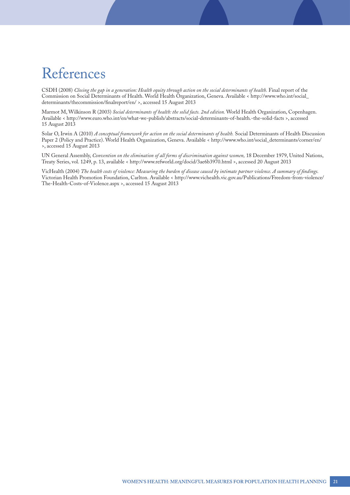# References

CSDH (2008) *Closing the gap in a generation: Health equity through action on the social determinants of health.* Final report of the Commission on Social Determinants of Health. World Health Organization, Geneva. Available < [http://www.who.int/social\\_](http://www.who.int/social_determinants/thecommission/finalreport/en/) [determinants/thecommission/finalreport/en/](http://www.who.int/social_determinants/thecommission/finalreport/en/) >, accessed 15 August 2013

Marmot M, Wilkinson R (2003) *Social determinants of health: the solid facts. 2nd edition.* World Health Organization, Copenhagen. Available <<http://www.euro.who.int/en/what-we-publish/abstracts/social-determinants-of-health.-the-solid-facts> >, accessed 15 August 2013

Solar O, Irwin A (2010) *A conceptual framework for action on the social determinants of health*. Social Determinants of Health Discussion Paper 2 (Policy and Practice). World Health Organization, Geneva. Available < [http://www.who.int/social\\_determinants/corner/en/](http://www.who.int/social_determinants/corner/en/)  >, accessed 15 August 2013

UN General Assembly, *Convention on the elimination of all forms of discrimination against women,* 18 December 1979, United Nations, Treaty Series, vol. 1249, p. 13, available < <http://www.refworld.org/docid/3ae6b3970.html> >, accessed 20 August 2013

VicHealth (2004) *The health costs of violence: Measuring the burden of disease caused by intimate partner violence. A summary of findings.*  Victorian Health Promotion Foundation, Carlton. Available < [http://www.vichealth.vic.gov.au/Publications/Freedom-from-violence/](http://www.vichealth.vic.gov.au/Publications/Freedom-from-violence/The-Health-Costs-of-Violence.aspx) [The-Health-Costs-of-Violence.aspx](http://www.vichealth.vic.gov.au/Publications/Freedom-from-violence/The-Health-Costs-of-Violence.aspx) >, accessed 15 August 2013